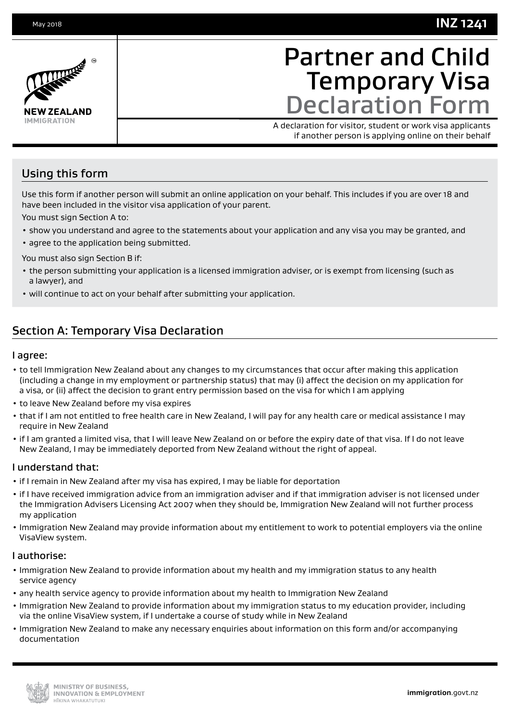## **INZ 1241**



# Partner and Child Temporary Visa Declaration Form

A declaration for visitor, student or work visa applicants if another person is applying online on their behalf

## Using this form

Use this form if another person will submit an online application on your behalf. This includes if you are over 18 and have been included in the visitor visa application of your parent.

You must sign Section A to:

- show you understand and agree to the statements about your application and any visa you may be granted, and
- agree to the application being submitted.

You must also sign Section B if:

- the person submitting your application is a licensed immigration adviser, or is exempt from licensing (such as a lawyer), and
- will continue to act on your behalf after submitting your application.

## Section A: Temporary Visa Declaration

### I agree:

- to tell Immigration New Zealand about any changes to my circumstances that occur after making this application (including a change in my employment or partnership status) that may (i) affect the decision on my application for a visa, or (ii) affect the decision to grant entry permission based on the visa for which I am applying
- to leave New Zealand before my visa expires
- that if I am not entitled to free health care in New Zealand, I will pay for any health care or medical assistance I may require in New Zealand
- if I am granted a limited visa, that I will leave New Zealand on or before the expiry date of that visa. If I do not leave New Zealand, I may be immediately deported from New Zealand without the right of appeal.

### I understand that:

- if I remain in New Zealand after my visa has expired, I may be liable for deportation
- if I have received immigration advice from an immigration adviser and if that immigration adviser is not licensed under the Immigration Advisers Licensing Act 2007 when they should be, Immigration New Zealand will not further process my application
- Immigration New Zealand may provide information about my entitlement to work to potential employers via the online VisaView system.

### I authorise:

- Immigration New Zealand to provide information about my health and my immigration status to any health service agency
- any health service agency to provide information about my health to Immigration New Zealand
- Immigration New Zealand to provide information about my immigration status to my education provider, including via the online VisaView system, if I undertake a course of study while in New Zealand
- Immigration New Zealand to make any necessary enquiries about information on this form and/or accompanying documentation